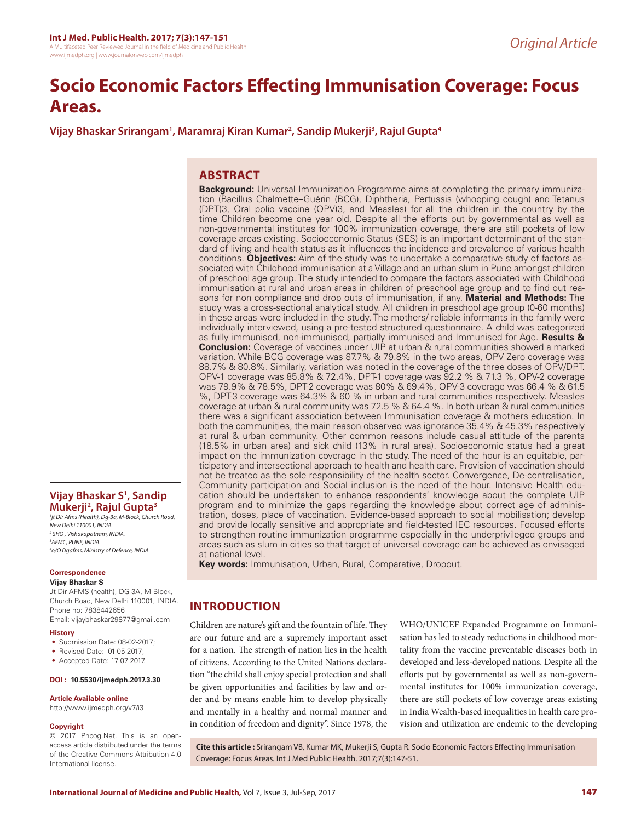# **Socio Economic Factors Effecting Immunisation Coverage: Focus Areas.**

**Vijay Bhaskar Srirangam1 , Maramraj Kiran Kumar2 , Sandip Mukerji3 , Rajul Gupta4**

# **ABSTRACT**

**Background:** Universal Immunization Programme aims at completing the primary immunization (Bacillus Chalmette–Guérin (BCG), Diphtheria, Pertussis (whooping cough) and Tetanus (DPT)3, Oral polio vaccine (OPV)3, and Measles) for all the children in the country by the time Children become one year old. Despite all the efforts put by governmental as well as non-governmental institutes for 100% immunization coverage, there are still pockets of low coverage areas existing. Socioeconomic Status (SES) is an important determinant of the standard of living and health status as it influences the incidence and prevalence of various health conditions. **Objectives:** Aim of the study was to undertake a comparative study of factors associated with Childhood immunisation at a Village and an urban slum in Pune amongst children of preschool age group. The study intended to compare the factors associated with Childhood immunisation at rural and urban areas in children of preschool age group and to find out reasons for non compliance and drop outs of immunisation, if any. **Material and Methods:** The study was a cross-sectional analytical study. All children in preschool age group (0-60 months) in these areas were included in the study. The mothers/ reliable informants in the family were individually interviewed, using a pre-tested structured questionnaire. A child was categorized as fully immunised, non-immunised, partially immunised and Immunised for Age. **Results & Conclusion:** Coverage of vaccines under UIP at urban & rural communities showed a marked variation. While BCG coverage was 87.7% & 79.8% in the two areas, OPV Zero coverage was 88.7% & 80.8%. Similarly, variation was noted in the coverage of the three doses of OPV/DPT. OPV-1 coverage was 85.8% & 72.4%, DPT-1 coverage was 92.2 % & 71.3 %, OPV-2 coverage was 79.9% & 78.5%, DPT-2 coverage was 80% & 69.4%, OPV-3 coverage was 66.4 % & 61.5 %, DPT-3 coverage was 64.3% & 60 % in urban and rural communities respectively. Measles coverage at urban & rural community was 72.5 % & 64.4 %. In both urban & rural communities there was a significant association between Immunisation coverage & mothers education. In both the communities, the main reason observed was ignorance 35.4% & 45.3% respectively at rural & urban community. Other common reasons include casual attitude of the parents (18.5% in urban area) and sick child (13% in rural area). Socioeconomic status had a great impact on the immunization coverage in the study. The need of the hour is an equitable, participatory and intersectional approach to health and health care. Provision of vaccination should not be treated as the sole responsibility of the health sector. Convergence, De-centralisation, Community participation and Social inclusion is the need of the hour. Intensive Health education should be undertaken to enhance respondents' knowledge about the complete UIP program and to minimize the gaps regarding the knowledge about correct age of administration, doses, place of vaccination. Evidence-based approach to social mobilisation; develop and provide locally sensitive and appropriate and field-tested IEC resources. Focused efforts to strengthen routine immunization programme especially in the underprivileged groups and areas such as slum in cities so that target of universal coverage can be achieved as envisaged at national level.

**Key words:** Immunisation, Urban, Rural, Comparative, Dropout.

# **INTRODUCTION**

Children are nature's gift and the fountain of life. They are our future and are a supremely important asset for a nation. The strength of nation lies in the health of citizens. According to the United Nations declaration "the child shall enjoy special protection and shall be given opportunities and facilities by law and order and by means enable him to develop physically and mentally in a healthy and normal manner and in condition of freedom and dignity". Since 1978, the

WHO/UNICEF Expanded Programme on Immunisation has led to steady reductions in childhood mortality from the vaccine preventable diseases both in developed and less-developed nations. Despite all the efforts put by governmental as well as non-governmental institutes for 100% immunization coverage, there are still pockets of low coverage areas existing in India Wealth-based inequalities in health care provision and utilization are endemic to the developing

**Cite this article :** Srirangam VB, Kumar MK, Mukerji S, Gupta R. Socio Economic Factors Effecting Immunisation Coverage: Focus Areas. Int J Med Public Health. 2017;7(3):147-51.

## **Vijay Bhaskar S1 , Sandip Mukerji2 , Rajul Gupta3**

 *jt Dir Afms (Health), Dg-3a, M-Block, Church Road, New Delhi 110001, INDIA. SHO , Vishakapatnam, INDIA. AFMC, PUNE, INDIA. o/O Dgafms, Ministry of Defence, INDIA.*

#### **Correspondence Vijay Bhaskar S**

Jt Dir AFMS (health), DG-3A, M-Block, Church Road, New Delhi 110001, INDIA. Phone no: 7838442656 Email: vijaybhaskar29877@gmail.com

#### **History**

- Submission Date: 08-02-2017;
- Revised Date: 01-05-2017;
- Accepted Date: 17-07-2017.

#### **DOI : 10.5530/ijmedph.2017.3.30**

#### **Article Available online**

http://www.ijmedph.org/v7/i3

#### **Copyright**

© 2017 Phcog.Net. This is an openaccess article distributed under the terms of the Creative Commons Attribution 4.0 International license.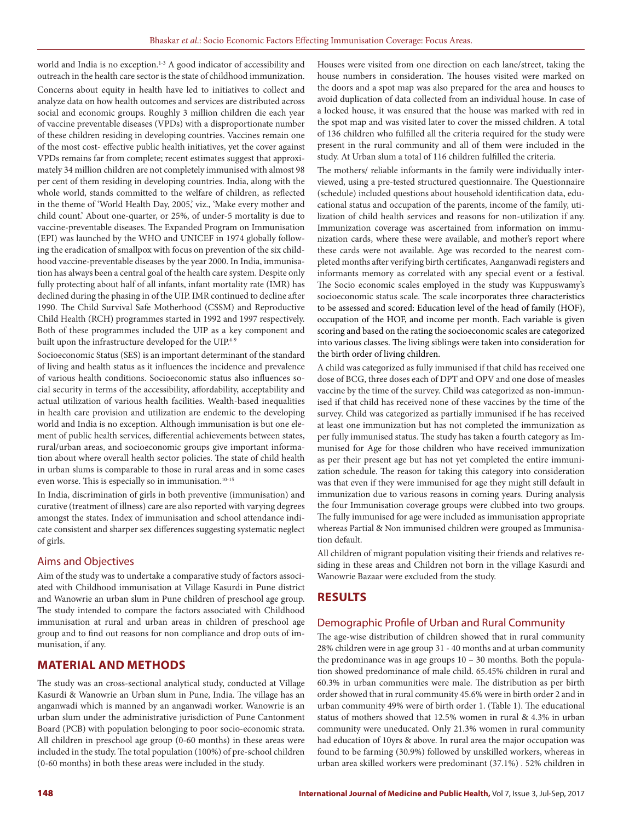world and India is no exception.<sup>1-3</sup> A good indicator of accessibility and outreach in the health care sector is the state of childhood immunization. Concerns about equity in health have led to initiatives to collect and analyze data on how health outcomes and services are distributed across social and economic groups. Roughly 3 million children die each year of vaccine preventable diseases (VPDs) with a disproportionate number of these children residing in developing countries. Vaccines remain one of the most cost- effective public health initiatives, yet the cover against VPDs remains far from complete; recent estimates suggest that approximately 34 million children are not completely immunised with almost 98 per cent of them residing in developing countries. India, along with the whole world, stands committed to the welfare of children, as reflected in the theme of 'World Health Day, 2005,' viz., 'Make every mother and child count.' About one-quarter, or 25%, of under-5 mortality is due to vaccine-preventable diseases. The Expanded Program on Immunisation (EPI) was launched by the WHO and UNICEF in 1974 globally following the eradication of smallpox with focus on prevention of the six childhood vaccine-preventable diseases by the year 2000. In India, immunisation has always been a central goal of the health care system. Despite only fully protecting about half of all infants, infant mortality rate (IMR) has declined during the phasing in of the UIP. IMR continued to decline after 1990. The Child Survival Safe Motherhood (CSSM) and Reproductive Child Health (RCH) programmes started in 1992 and 1997 respectively. Both of these programmes included the UIP as a key component and built upon the infrastructure developed for the UIP.<sup>4-9</sup>

Socioeconomic Status (SES) is an important determinant of the standard of living and health status as it influences the incidence and prevalence of various health conditions. Socioeconomic status also influences social security in terms of the accessibility, affordability, acceptability and actual utilization of various health facilities. Wealth-based inequalities in health care provision and utilization are endemic to the developing world and India is no exception. Although immunisation is but one element of public health services, differential achievements between states, rural/urban areas, and socioeconomic groups give important information about where overall health sector policies. The state of child health in urban slums is comparable to those in rural areas and in some cases even worse. This is especially so in immunisation. $10-15$ 

In India, discrimination of girls in both preventive (immunisation) and curative (treatment of illness) care are also reported with varying degrees amongst the states. Index of immunisation and school attendance indicate consistent and sharper sex differences suggesting systematic neglect of girls.

## Aims and Objectives

Aim of the study was to undertake a comparative study of factors associated with Childhood immunisation at Village Kasurdi in Pune district and Wanowrie an urban slum in Pune children of preschool age group. The study intended to compare the factors associated with Childhood immunisation at rural and urban areas in children of preschool age group and to find out reasons for non compliance and drop outs of immunisation, if any.

# **MATERIAL AND METHODS**

The study was an cross-sectional analytical study, conducted at Village Kasurdi & Wanowrie an Urban slum in Pune, India. The village has an anganwadi which is manned by an anganwadi worker. Wanowrie is an urban slum under the administrative jurisdiction of Pune Cantonment Board (PCB) with population belonging to poor socio-economic strata. All children in preschool age group (0-60 months) in these areas were included in the study. The total population (100%) of pre-school children (0-60 months) in both these areas were included in the study.

Houses were visited from one direction on each lane/street, taking the house numbers in consideration. The houses visited were marked on the doors and a spot map was also prepared for the area and houses to avoid duplication of data collected from an individual house. In case of a locked house, it was ensured that the house was marked with red in the spot map and was visited later to cover the missed children. A total of 136 children who fulfilled all the criteria required for the study were present in the rural community and all of them were included in the study. At Urban slum a total of 116 children fulfilled the criteria.

The mothers/ reliable informants in the family were individually interviewed, using a pre-tested structured questionnaire. The Questionnaire (schedule) included questions about household identification data, educational status and occupation of the parents, income of the family, utilization of child health services and reasons for non-utilization if any. Immunization coverage was ascertained from information on immunization cards, where these were available, and mother's report where these cards were not available. Age was recorded to the nearest completed months after verifying birth certificates, Aanganwadi registers and informants memory as correlated with any special event or a festival. The Socio economic scales employed in the study was Kuppuswamy's socioeconomic status scale. The scale incorporates three characteristics to be assessed and scored: Education level of the head of family (HOF), occupation of the HOF, and income per month. Each variable is given scoring and based on the rating the socioeconomic scales are categorized into various classes. The living siblings were taken into consideration for the birth order of living children.

A child was categorized as fully immunised if that child has received one dose of BCG, three doses each of DPT and OPV and one dose of measles vaccine by the time of the survey. Child was categorized as non-immunised if that child has received none of these vaccines by the time of the survey. Child was categorized as partially immunised if he has received at least one immunization but has not completed the immunization as per fully immunised status. The study has taken a fourth category as Immunised for Age for those children who have received immunization as per their present age but has not yet completed the entire immunization schedule. The reason for taking this category into consideration was that even if they were immunised for age they might still default in immunization due to various reasons in coming years. During analysis the four Immunisation coverage groups were clubbed into two groups. The fully immunised for age were included as immunisation appropriate whereas Partial & Non immunised children were grouped as Immunisation default.

All children of migrant population visiting their friends and relatives residing in these areas and Children not born in the village Kasurdi and Wanowrie Bazaar were excluded from the study.

# **RESULTS**

## Demographic Profile of Urban and Rural Community

The age-wise distribution of children showed that in rural community 28% children were in age group 31 - 40 months and at urban community the predominance was in age groups 10 – 30 months. Both the population showed predominance of male child. 65.45% children in rural and 60.3% in urban communities were male. The distribution as per birth order showed that in rural community 45.6% were in birth order 2 and in urban community 49% were of birth order 1. (Table 1). The educational status of mothers showed that 12.5% women in rural & 4.3% in urban community were uneducated. Only 21.3% women in rural community had education of 10yrs & above. In rural area the major occupation was found to be farming (30.9%) followed by unskilled workers, whereas in urban area skilled workers were predominant (37.1%) . 52% children in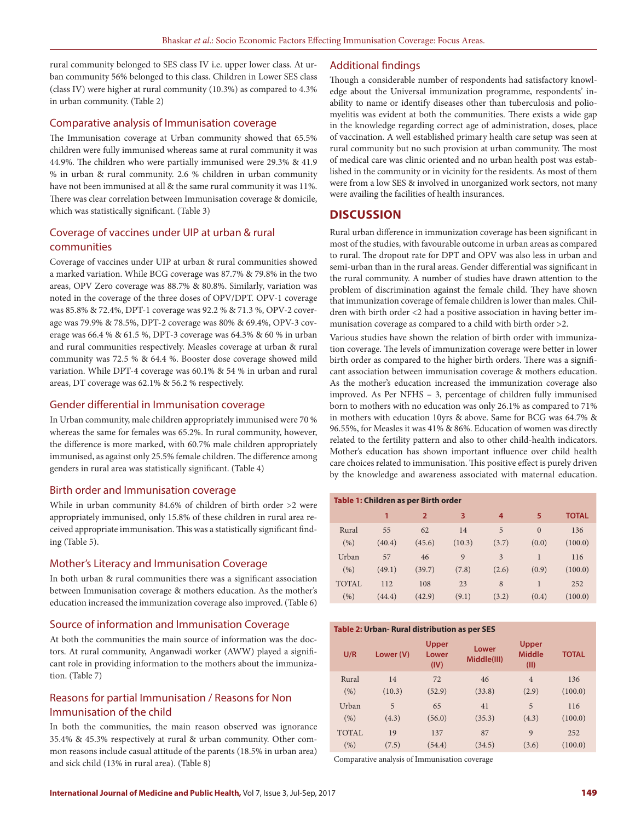rural community belonged to SES class IV i.e. upper lower class. At urban community 56% belonged to this class. Children in Lower SES class (class IV) were higher at rural community (10.3%) as compared to 4.3% in urban community. (Table 2)

#### Comparative analysis of Immunisation coverage

The Immunisation coverage at Urban community showed that 65.5% children were fully immunised whereas same at rural community it was 44.9%. The children who were partially immunised were 29.3% & 41.9 % in urban & rural community. 2.6 % children in urban community have not been immunised at all & the same rural community it was 11%. There was clear correlation between Immunisation coverage & domicile, which was statistically significant. (Table 3)

## Coverage of vaccines under UIP at urban & rural communities

Coverage of vaccines under UIP at urban & rural communities showed a marked variation. While BCG coverage was 87.7% & 79.8% in the two areas, OPV Zero coverage was 88.7% & 80.8%. Similarly, variation was noted in the coverage of the three doses of OPV/DPT. OPV-1 coverage was 85.8% & 72.4%, DPT-1 coverage was 92.2 % & 71.3 %, OPV-2 coverage was 79.9% & 78.5%, DPT-2 coverage was 80% & 69.4%, OPV-3 coverage was 66.4 % & 61.5 %, DPT-3 coverage was 64.3% & 60 % in urban and rural communities respectively. Measles coverage at urban & rural community was 72.5 % & 64.4 %. Booster dose coverage showed mild variation. While DPT-4 coverage was 60.1% & 54 % in urban and rural areas, DT coverage was 62.1% & 56.2 % respectively.

## Gender differential in Immunisation coverage

In Urban community, male children appropriately immunised were 70 % whereas the same for females was 65.2%. In rural community, however, the difference is more marked, with 60.7% male children appropriately immunised, as against only 25.5% female children. The difference among genders in rural area was statistically significant. (Table 4)

## Birth order and Immunisation coverage

While in urban community 84.6% of children of birth order >2 were appropriately immunised, only 15.8% of these children in rural area received appropriate immunisation. This was a statistically significant finding (Table 5).

## Mother's Literacy and Immunisation Coverage

In both urban & rural communities there was a significant association between Immunisation coverage & mothers education. As the mother's education increased the immunization coverage also improved. (Table 6)

## Source of information and Immunisation Coverage

At both the communities the main source of information was the doctors. At rural community, Anganwadi worker (AWW) played a significant role in providing information to the mothers about the immunization. (Table 7)

## Reasons for partial Immunisation / Reasons for Non Immunisation of the child

In both the communities, the main reason observed was ignorance 35.4% & 45.3% respectively at rural & urban community. Other common reasons include casual attitude of the parents (18.5% in urban area) and sick child (13% in rural area). (Table 8)

#### Additional findings

Though a considerable number of respondents had satisfactory knowledge about the Universal immunization programme, respondents' inability to name or identify diseases other than tuberculosis and poliomyelitis was evident at both the communities. There exists a wide gap in the knowledge regarding correct age of administration, doses, place of vaccination. A well established primary health care setup was seen at rural community but no such provision at urban community. The most of medical care was clinic oriented and no urban health post was established in the community or in vicinity for the residents. As most of them were from a low SES & involved in unorganized work sectors, not many were availing the facilities of health insurances.

## **DISCUSSION**

Rural urban difference in immunization coverage has been significant in most of the studies, with favourable outcome in urban areas as compared to rural. The dropout rate for DPT and OPV was also less in urban and semi-urban than in the rural areas. Gender differential was significant in the rural community. A number of studies have drawn attention to the problem of discrimination against the female child. They have shown that immunization coverage of female children is lower than males. Children with birth order <2 had a positive association in having better immunisation coverage as compared to a child with birth order >2.

Various studies have shown the relation of birth order with immunization coverage. The levels of immunization coverage were better in lower birth order as compared to the higher birth orders. There was a significant association between immunisation coverage & mothers education. As the mother's education increased the immunization coverage also improved. As Per NFHS – 3, percentage of children fully immunised born to mothers with no education was only 26.1% as compared to 71% in mothers with education 10yrs & above. Same for BCG was 64.7% & 96.55%, for Measles it was 41% & 86%. Education of women was directly related to the fertility pattern and also to other child-health indicators. Mother's education has shown important influence over child health care choices related to immunisation. This positive effect is purely driven by the knowledge and awareness associated with maternal education.

| Table 1: Children as per Birth order |        |                |              |       |          |              |  |
|--------------------------------------|--------|----------------|--------------|-------|----------|--------------|--|
|                                      | 1      | $\overline{2}$ | 3            | 4     | 5        | <b>TOTAL</b> |  |
| Rural                                | 55     | 62             | 14           | 5     | $\Omega$ | 136          |  |
| (% )                                 | (40.4) | (45.6)         | (10.3)       | (3.7) | (0.0)    | (100.0)      |  |
| Urban                                | 57     | 46             | $\mathbf{Q}$ | 3     | 1        | 116          |  |
| (% )                                 | (49.1) | (39.7)         | (7.8)        | (2.6) | (0.9)    | (100.0)      |  |
| <b>TOTAL</b>                         | 112    | 108            | 23           | 8     | 1        | 252          |  |
| (%)                                  | (44.4) | (42.9)         | (9.1)        | (3.2) | (0.4)    | (100.0)      |  |

#### **Table 2: Urban- Rural distribution as per SES**

| U/R   | Lower (V) | <b>Upper</b><br>Lower<br>(IV) | Lower<br>Middle(III) | Upper<br><b>Middle</b><br>(III) | <b>TOTAL</b> |
|-------|-----------|-------------------------------|----------------------|---------------------------------|--------------|
| Rural | 14        | 72                            | 46                   | $\overline{4}$                  | 136          |
| (96)  | (10.3)    | (52.9)                        | (33.8)               | (2.9)                           | (100.0)      |
| Urban | 5         | 65                            | 41                   | 5                               | 116          |
| (96)  | (4.3)     | (56.0)                        | (35.3)               | (4.3)                           | (100.0)      |
| TOTAL | 19        | 137                           | 87                   | 9                               | 252          |
| (%)   | (7.5)     | (54.4)                        | (34.5)               | (3.6)                           | (100.0)      |

Comparative analysis of Immunisation coverage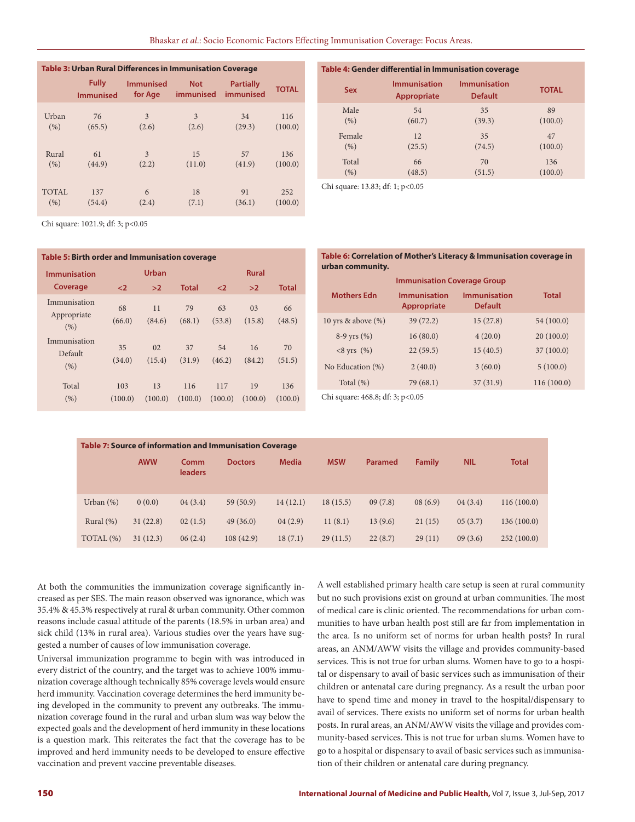| <b>Table 3: Urban Rural Differences in Immunisation Coverage</b> |                                  |                             |                         |                               |              |  |  |
|------------------------------------------------------------------|----------------------------------|-----------------------------|-------------------------|-------------------------------|--------------|--|--|
|                                                                  | <b>Fully</b><br><b>Immunised</b> | <b>Immunised</b><br>for Age | <b>Not</b><br>immunised | <b>Partially</b><br>immunised | <b>TOTAL</b> |  |  |
| Urban                                                            | 76                               | 3                           | 3                       | 34                            | 116          |  |  |
| (96)                                                             | (65.5)                           | (2.6)                       | (2.6)                   | (29.3)                        | (100.0)      |  |  |
| Rural                                                            | 61                               | 3                           | 15                      | 57                            | 136          |  |  |
| (9/6)                                                            | (44.9)                           | (2.2)                       | (11.0)                  | (41.9)                        | (100.0)      |  |  |
| <b>TOTAL</b>                                                     | 137                              | 6                           | 18                      | 91                            | 252          |  |  |
| (% )                                                             | (54.4)                           | (2.4)                       | (7.1)                   | (36.1)                        | (100.0)      |  |  |

| Table 4: Gender differential in Immunisation coverage |                                    |                                       |              |  |  |  |  |
|-------------------------------------------------------|------------------------------------|---------------------------------------|--------------|--|--|--|--|
| <b>Sex</b>                                            | <b>Immunisation</b><br>Appropriate | <b>Immunisation</b><br><b>Default</b> | <b>TOTAL</b> |  |  |  |  |
| Male                                                  | 54                                 | 35                                    | 89           |  |  |  |  |
| (% )                                                  | (60.7)                             | (39.3)                                | (100.0)      |  |  |  |  |
| Female                                                | 12                                 | 35                                    | 47           |  |  |  |  |
| (% )                                                  | (25.5)                             | (74.5)                                | (100.0)      |  |  |  |  |
| Total                                                 | 66                                 | 70                                    | 136          |  |  |  |  |
| (% )                                                  | (48.5)                             | (51.5)                                | (100.0)      |  |  |  |  |

Chi square: 13.83; df: 1; p<0.05

Chi square: 1021.9; df: 3; p<0.05

| Table 5: Birth order and Immunisation coverage |                |               |                |                |                          |                |  |
|------------------------------------------------|----------------|---------------|----------------|----------------|--------------------------|----------------|--|
| <b>Immunisation</b>                            |                | <b>Urban</b>  |                |                | <b>Rural</b>             |                |  |
| Coverage                                       | $\leq$         | >2            | <b>Total</b>   | $\leq$         | >2                       | <b>Total</b>   |  |
| Immunisation<br>Appropriate<br>(%)             | 68<br>(66.0)   | 11<br>(84.6)  | 79<br>(68.1)   | 63<br>(53.8)   | 0 <sub>3</sub><br>(15.8) | 66<br>(48.5)   |  |
| Immunisation<br>Default<br>(% )                | 35<br>(34.0)   | 02<br>(15.4)  | 37<br>(31.9)   | 54<br>(46.2)   | 16<br>(84.2)             | 70<br>(51.5)   |  |
| Total<br>(% )                                  | 103<br>(100.0) | 13<br>(100.0) | 116<br>(100.0) | 117<br>(100.0) | 19<br>(100.0)            | 136<br>(100.0) |  |

**Table 6: Correlation of Mother's Literacy & Immunisation coverage in urban community.**

| <b>Immunisation Coverage Group</b> |                                           |                                       |            |  |  |  |  |
|------------------------------------|-------------------------------------------|---------------------------------------|------------|--|--|--|--|
| <b>Mothers Edn</b>                 | <b>Immunisation</b><br><b>Appropriate</b> | <b>Immunisation</b><br><b>Default</b> | Total      |  |  |  |  |
| 10 yrs & above $(\%)$              | 39(72.2)                                  | 15(27.8)                              | 54 (100.0) |  |  |  |  |
| $8-9$ yrs $(\%)$                   | 16(80.0)                                  | 4(20.0)                               | 20(100.0)  |  |  |  |  |
| $<8$ yrs $(\%)$                    | 22(59.5)                                  | 15(40.5)                              | 37(100.0)  |  |  |  |  |
| No Education $(\%)$                | 2(40.0)                                   | 3(60.0)                               | 5(100.0)   |  |  |  |  |
| Total $(\%)$                       | 79 (68.1)                                 | 37(31.9)                              | 116(100.0) |  |  |  |  |

Chi square: 468.8; df: 3; p<0.05

| Table 7: Source of information and Immunisation Coverage |              |            |                        |                |              |            |         |               |            |              |
|----------------------------------------------------------|--------------|------------|------------------------|----------------|--------------|------------|---------|---------------|------------|--------------|
|                                                          |              | <b>AWW</b> | Comm<br><b>leaders</b> | <b>Doctors</b> | <b>Media</b> | <b>MSW</b> | Paramed | <b>Family</b> | <b>NIL</b> | <b>Total</b> |
|                                                          | Urban $(\%)$ | 0(0.0)     | 04(3.4)                | 59(50.9)       | 14(12.1)     | 18(15.5)   | 09(7.8) | 08(6.9)       | 04(3.4)    | 116(100.0)   |
|                                                          | Rural $(\%)$ | 31(22.8)   | 02(1.5)                | 49(36.0)       | 04(2.9)      | 11(8.1)    | 13(9.6) | 21(15)        | 05(3.7)    | 136(100.0)   |
|                                                          | TOTAL (%)    | 31(12.3)   | 06(2.4)                | 108(42.9)      | 18(7.1)      | 29(11.5)   | 22(8.7) | 29(11)        | 09(3.6)    | 252(100.0)   |

At both the communities the immunization coverage significantly increased as per SES. The main reason observed was ignorance, which was 35.4% & 45.3% respectively at rural & urban community. Other common reasons include casual attitude of the parents (18.5% in urban area) and sick child (13% in rural area). Various studies over the years have suggested a number of causes of low immunisation coverage.

Universal immunization programme to begin with was introduced in every district of the country, and the target was to achieve 100% immunization coverage although technically 85% coverage levels would ensure herd immunity. Vaccination coverage determines the herd immunity being developed in the community to prevent any outbreaks. The immunization coverage found in the rural and urban slum was way below the expected goals and the development of herd immunity in these locations is a question mark. This reiterates the fact that the coverage has to be improved and herd immunity needs to be developed to ensure effective vaccination and prevent vaccine preventable diseases.

A well established primary health care setup is seen at rural community but no such provisions exist on ground at urban communities. The most of medical care is clinic oriented. The recommendations for urban communities to have urban health post still are far from implementation in the area. Is no uniform set of norms for urban health posts? In rural areas, an ANM/AWW visits the village and provides community-based services. This is not true for urban slums. Women have to go to a hospital or dispensary to avail of basic services such as immunisation of their children or antenatal care during pregnancy. As a result the urban poor have to spend time and money in travel to the hospital/dispensary to avail of services. There exists no uniform set of norms for urban health posts. In rural areas, an ANM/AWW visits the village and provides community-based services. This is not true for urban slums. Women have to go to a hospital or dispensary to avail of basic services such as immunisation of their children or antenatal care during pregnancy.